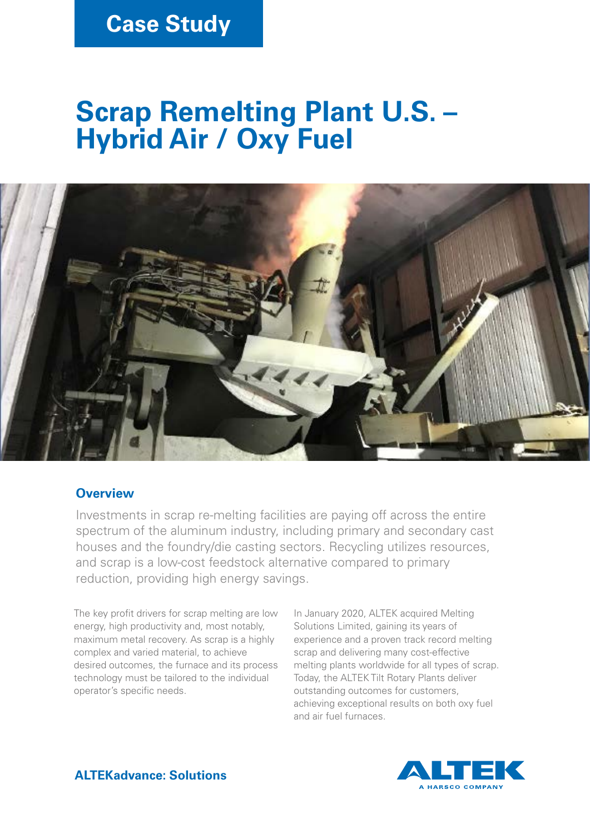## **Case Study**

# **Scrap Remelting Plant U.S. – Hybrid Air / Oxy Fuel**



### **Overview**

Investments in scrap re-melting facilities are paying off across the entire spectrum of the aluminum industry, including primary and secondary cast houses and the foundry/die casting sectors. Recycling utilizes resources, and scrap is a low-cost feedstock alternative compared to primary reduction, providing high energy savings.

The key profit drivers for scrap melting are low energy, high productivity and, most notably, maximum metal recovery. As scrap is a highly complex and varied material, to achieve desired outcomes, the furnace and its process technology must be tailored to the individual operator's specific needs.

In January 2020, ALTEK acquired Melting Solutions Limited, gaining its years of experience and a proven track record melting scrap and delivering many cost-effective melting plants worldwide for all types of scrap. Today, the ALTEK Tilt Rotary Plants deliver outstanding outcomes for customers, achieving exceptional results on both oxy fuel and air fuel furnaces.



**ALTEKadvance: Solutions**